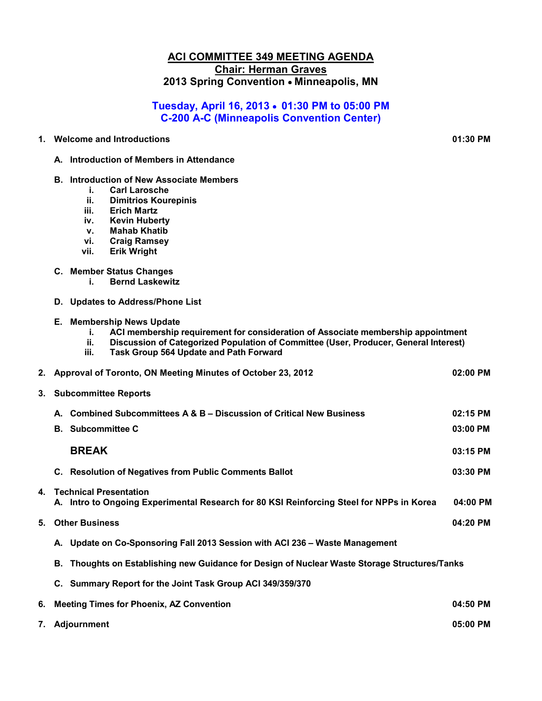#### **ACI COMMITTEE 349 MEETING AGENDA Chair: Herman Graves 2013 Spring Convention** • **Minneapolis, MN**

# **Tuesday, April 16, 2013** • **01:30 PM to 05:00 PM C-200 A-C (Minneapolis Convention Center)**

**1. Welcome and Introductions 01:30 PM** 

- **A. Introduction of Members in Attendance**
- **B. Introduction of New Associate Members** 
	- **i. Carl Larosche**
	- **ii. Dimitrios Kourepinis**
	- **iii. Erich Martz**
	- **iv. Kevin Huberty**
	- **v. Mahab Khatib**
	- **vi. Craig Ramsey**
	- **vii. Erik Wright**
- **C. Member Status Changes** 
	- **i. Bernd Laskewitz**
- **D. Updates to Address/Phone List**
- **E. Membership News Update** 
	- **i. ACI membership requirement for consideration of Associate membership appointment**
	- **ii. Discussion of Categorized Population of Committee (User, Producer, General Interest)**
	- **iii. Task Group 564 Update and Path Forward**

|              | 2. Approval of Toronto, ON Meeting Minutes of October 23, 2012                                                            |          |  |  |  |
|--------------|---------------------------------------------------------------------------------------------------------------------------|----------|--|--|--|
| 3.           | <b>Subcommittee Reports</b>                                                                                               |          |  |  |  |
|              | A. Combined Subcommittees A & B - Discussion of Critical New Business                                                     | 02:15 PM |  |  |  |
|              | <b>B.</b> Subcommittee C                                                                                                  | 03:00 PM |  |  |  |
|              | <b>BREAK</b>                                                                                                              | 03:15 PM |  |  |  |
|              | C. Resolution of Negatives from Public Comments Ballot                                                                    | 03:30 PM |  |  |  |
| $\mathbf{4}$ | <b>Technical Presentation</b><br>A. Intro to Ongoing Experimental Research for 80 KSI Reinforcing Steel for NPPs in Korea | 04:00 PM |  |  |  |
| 5.           | <b>Other Business</b>                                                                                                     |          |  |  |  |
|              | A. Update on Co-Sponsoring Fall 2013 Session with ACI 236 - Waste Management                                              |          |  |  |  |
|              | B. Thoughts on Establishing new Guidance for Design of Nuclear Waste Storage Structures/Tanks                             |          |  |  |  |
|              | C. Summary Report for the Joint Task Group ACI 349/359/370                                                                |          |  |  |  |
| 6.           | <b>Meeting Times for Phoenix, AZ Convention</b>                                                                           | 04:50 PM |  |  |  |
|              | 05:00 PM<br>7. Adjournment                                                                                                |          |  |  |  |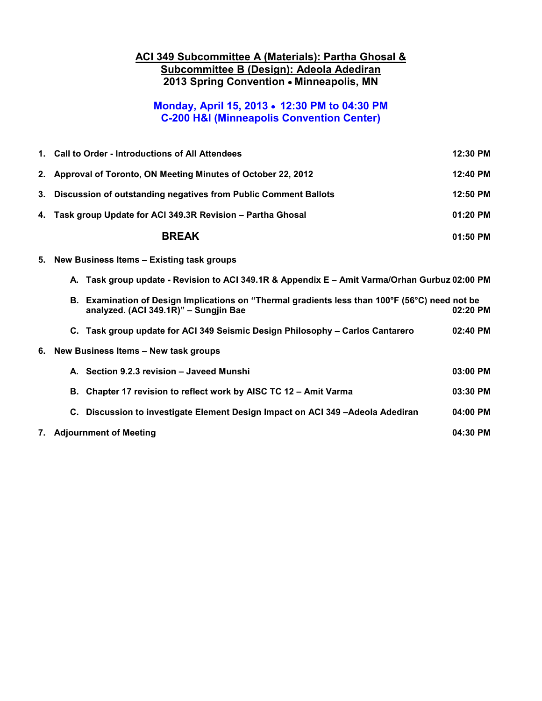### **ACI 349 Subcommittee A (Materials): Partha Ghosal & Subcommittee B (Design): Adeola Adediran 2013 Spring Convention** • **Minneapolis, MN**

# **Monday, April 15, 2013** • **12:30 PM to 04:30 PM C-200 H&I (Minneapolis Convention Center)**

|    | 1. Call to Order - Introductions of All Attendees<br>12:30 PM                                                                           |          |  |
|----|-----------------------------------------------------------------------------------------------------------------------------------------|----------|--|
|    | 2. Approval of Toronto, ON Meeting Minutes of October 22, 2012<br>12:40 PM                                                              |          |  |
| 3. | 12:50 PM<br>Discussion of outstanding negatives from Public Comment Ballots                                                             |          |  |
|    | 4. Task group Update for ACI 349.3R Revision - Partha Ghosal                                                                            | 01:20 PM |  |
|    | <b>BREAK</b>                                                                                                                            | 01:50 PM |  |
| 5. | New Business Items - Existing task groups                                                                                               |          |  |
|    | A. Task group update - Revision to ACI 349.1R & Appendix E - Amit Varma/Orhan Gurbuz 02:00 PM                                           |          |  |
|    | B. Examination of Design Implications on "Thermal gradients less than 100°F (56°C) need not be<br>analyzed. (ACI 349.1R)" - Sungjin Bae | 02:20 PM |  |
|    | C. Task group update for ACI 349 Seismic Design Philosophy - Carlos Cantarero                                                           | 02:40 PM |  |
| 6. | New Business Items - New task groups                                                                                                    |          |  |
|    | A. Section 9.2.3 revision - Javeed Munshi                                                                                               | 03:00 PM |  |
|    | B. Chapter 17 revision to reflect work by AISC TC 12 - Amit Varma                                                                       | 03:30 PM |  |
|    | C. Discussion to investigate Element Design Impact on ACI 349 -Adeola Adediran                                                          | 04:00 PM |  |
|    | 7. Adjournment of Meeting                                                                                                               | 04:30 PM |  |